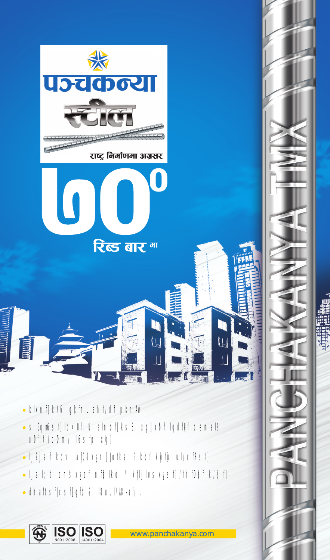

- · klxnf]kN6 gkfnL ahf/df pknAv
- · slGutisf|ld>0f; \ti alnof|ks8 xg|x\bf lgdf\f cemal9  $u0f: t/oQm/$  l6sfp xg]
- · ljZjsf kdv af08xzn]Jofks ?kdf kbfu ul/cfPsf]
- · ljsl; t dhsx¿df nfslkb / kfljlwsx¿sf]/fhf0df k/sf]
- · dhaltsf|csf{gfd &) l8uLl//8-af/.